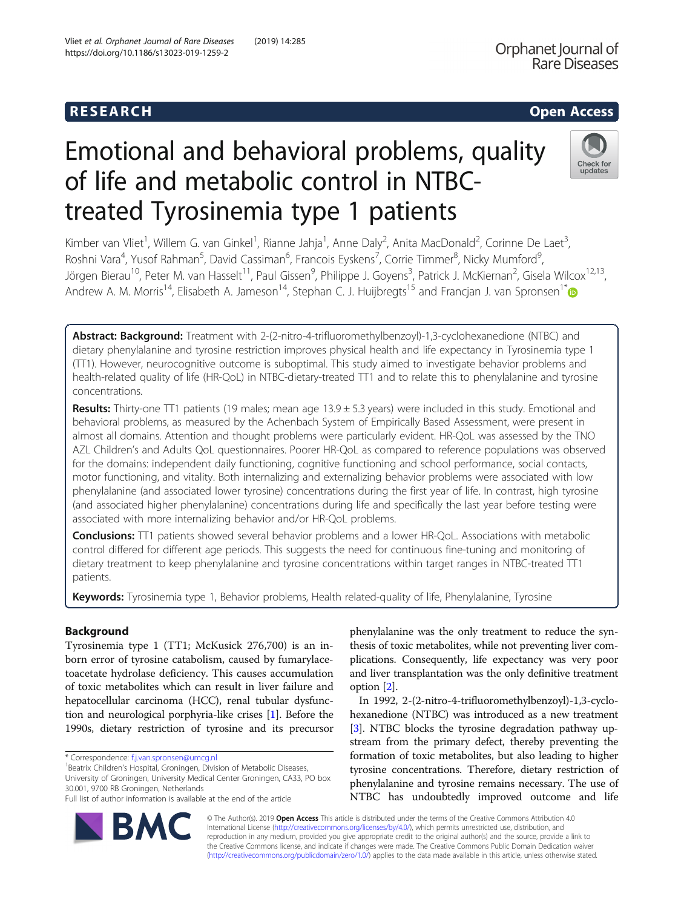## **RESEARCH CHILD CONTROL** CONTROL CONTROL CONTROL CONTROL CONTROL CONTROL CONTROL CONTROL CONTROL CONTROL CONTROL CONTROL CONTROL CONTROL CONTROL CONTROL CONTROL CONTROL CONTROL CONTROL CONTROL CONTROL CONTROL CONTROL CONTR

# Emotional and behavioral problems, quality of life and metabolic control in NTBCtreated Tyrosinemia type 1 patients



Kimber van Vliet<sup>1</sup>, Willem G. van Ginkel<sup>1</sup>, Rianne Jahja<sup>1</sup>, Anne Daly<sup>2</sup>, Anita MacDonald<sup>2</sup>, Corinne De Laet<sup>3</sup> , Roshni Vara<sup>4</sup>, Yusof Rahman<sup>5</sup>, David Cassiman<sup>6</sup>, Francois Eyskens<sup>7</sup>, Corrie Timmer<sup>8</sup>, Nicky Mumford<sup>9</sup> , Jörgen Bierau<sup>10</sup>, Peter M. van Hasselt<sup>11</sup>, Paul Gissen<sup>9</sup>, Philippe J. Goyens<sup>3</sup>, Patrick J. McKiernan<sup>2</sup>, Gisela Wilcox<sup>12,13</sup>, Andrew A. M. Morris<sup>14</sup>, Elisabeth A. Jameson<sup>14</sup>, Stephan C. J. Huijbregts<sup>15</sup> and Francjan J. van Spronsen<sup>1[\\*](http://orcid.org/0000-0002-3773-1929)</sup>

Abstract: Background: Treatment with 2-(2-nitro-4-trifluoromethylbenzoyl)-1,3-cyclohexanedione (NTBC) and dietary phenylalanine and tyrosine restriction improves physical health and life expectancy in Tyrosinemia type 1 (TT1). However, neurocognitive outcome is suboptimal. This study aimed to investigate behavior problems and health-related quality of life (HR-QoL) in NTBC-dietary-treated TT1 and to relate this to phenylalanine and tyrosine concentrations.

**Results:** Thirty-one TT1 patients (19 males; mean age  $13.9 \pm 5.3$  years) were included in this study. Emotional and behavioral problems, as measured by the Achenbach System of Empirically Based Assessment, were present in almost all domains. Attention and thought problems were particularly evident. HR-QoL was assessed by the TNO AZL Children's and Adults QoL questionnaires. Poorer HR-QoL as compared to reference populations was observed for the domains: independent daily functioning, cognitive functioning and school performance, social contacts, motor functioning, and vitality. Both internalizing and externalizing behavior problems were associated with low phenylalanine (and associated lower tyrosine) concentrations during the first year of life. In contrast, high tyrosine (and associated higher phenylalanine) concentrations during life and specifically the last year before testing were associated with more internalizing behavior and/or HR-QoL problems.

**Conclusions:** TT1 patients showed several behavior problems and a lower HR-QoL. Associations with metabolic control differed for different age periods. This suggests the need for continuous fine-tuning and monitoring of dietary treatment to keep phenylalanine and tyrosine concentrations within target ranges in NTBC-treated TT1 patients.

Keywords: Tyrosinemia type 1, Behavior problems, Health related-quality of life, Phenylalanine, Tyrosine

### Background

Tyrosinemia type 1 (TT1; McKusick 276,700) is an inborn error of tyrosine catabolism, caused by fumarylacetoacetate hydrolase deficiency. This causes accumulation of toxic metabolites which can result in liver failure and hepatocellular carcinoma (HCC), renal tubular dysfunction and neurological porphyria-like crises [\[1](#page-7-0)]. Before the 1990s, dietary restriction of tyrosine and its precursor

\* Correspondence: [f.j.van.spronsen@umcg.nl](mailto:f.j.van.spronsen@umcg.nl) <sup>1</sup>

<sup>1</sup> Beatrix Children's Hospital, Groningen, Division of Metabolic Diseases, University of Groningen, University Medical Center Groningen, CA33, PO box 30.001, 9700 RB Groningen, Netherlands

Full list of author information is available at the end of the article

phenylalanine was the only treatment to reduce the synthesis of toxic metabolites, while not preventing liver complications. Consequently, life expectancy was very poor and liver transplantation was the only definitive treatment option [\[2](#page-7-0)].

In 1992, 2-(2-nitro-4-trifluoromethylbenzoyl)-1,3-cyclohexanedione (NTBC) was introduced as a new treatment [[3\]](#page-7-0). NTBC blocks the tyrosine degradation pathway upstream from the primary defect, thereby preventing the formation of toxic metabolites, but also leading to higher tyrosine concentrations. Therefore, dietary restriction of phenylalanine and tyrosine remains necessary. The use of NTBC has undoubtedly improved outcome and life

© The Author(s). 2019 Open Access This article is distributed under the terms of the Creative Commons Attribution 4.0 International License [\(http://creativecommons.org/licenses/by/4.0/](http://creativecommons.org/licenses/by/4.0/)), which permits unrestricted use, distribution, and reproduction in any medium, provided you give appropriate credit to the original author(s) and the source, provide a link to the Creative Commons license, and indicate if changes were made. The Creative Commons Public Domain Dedication waiver [\(http://creativecommons.org/publicdomain/zero/1.0/](http://creativecommons.org/publicdomain/zero/1.0/)) applies to the data made available in this article, unless otherwise stated.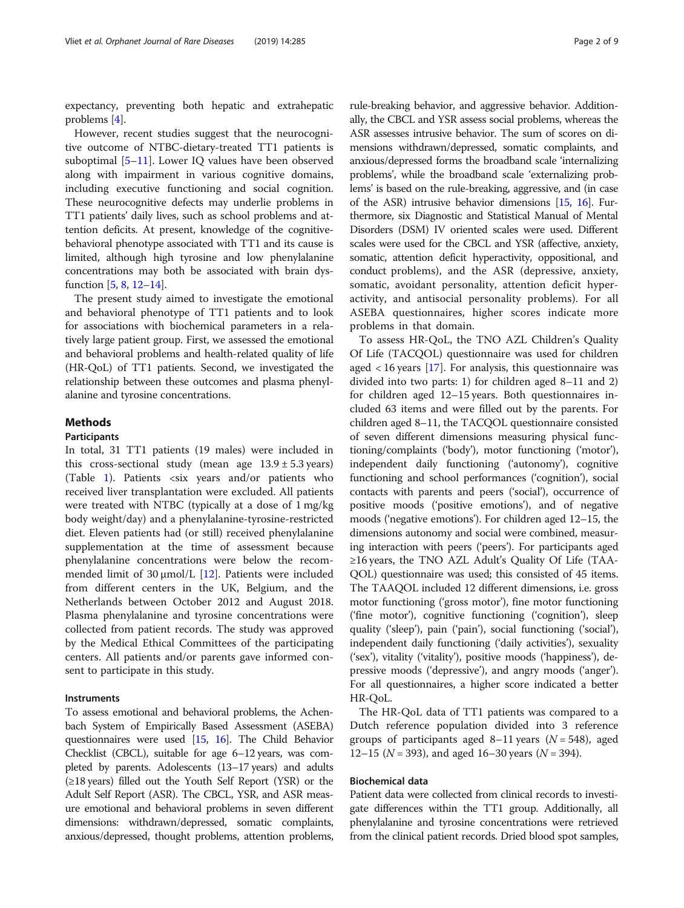expectancy, preventing both hepatic and extrahepatic problems [[4\]](#page-7-0).

However, recent studies suggest that the neurocognitive outcome of NTBC-dietary-treated TT1 patients is suboptimal [[5](#page-7-0)–[11](#page-7-0)]. Lower IQ values have been observed along with impairment in various cognitive domains, including executive functioning and social cognition. These neurocognitive defects may underlie problems in TT1 patients' daily lives, such as school problems and attention deficits. At present, knowledge of the cognitivebehavioral phenotype associated with TT1 and its cause is limited, although high tyrosine and low phenylalanine concentrations may both be associated with brain dysfunction [\[5,](#page-7-0) [8](#page-7-0), [12](#page-7-0)–[14](#page-7-0)].

The present study aimed to investigate the emotional and behavioral phenotype of TT1 patients and to look for associations with biochemical parameters in a relatively large patient group. First, we assessed the emotional and behavioral problems and health-related quality of life (HR-QoL) of TT1 patients. Second, we investigated the relationship between these outcomes and plasma phenylalanine and tyrosine concentrations.

#### Methods

#### Participants

In total, 31 TT1 patients (19 males) were included in this cross-sectional study (mean age  $13.9 \pm 5.3$  years) (Table [1](#page-2-0)). Patients <six years and/or patients who received liver transplantation were excluded. All patients were treated with NTBC (typically at a dose of 1 mg/kg body weight/day) and a phenylalanine-tyrosine-restricted diet. Eleven patients had (or still) received phenylalanine supplementation at the time of assessment because phenylalanine concentrations were below the recommended limit of 30  $\mu$ mol/L [\[12\]](#page-7-0). Patients were included from different centers in the UK, Belgium, and the Netherlands between October 2012 and August 2018. Plasma phenylalanine and tyrosine concentrations were collected from patient records. The study was approved by the Medical Ethical Committees of the participating centers. All patients and/or parents gave informed consent to participate in this study.

#### **Instruments**

To assess emotional and behavioral problems, the Achenbach System of Empirically Based Assessment (ASEBA) questionnaires were used [\[15,](#page-8-0) [16\]](#page-8-0). The Child Behavior Checklist (CBCL), suitable for age 6–12 years, was completed by parents. Adolescents (13–17 years) and adults (≥18 years) filled out the Youth Self Report (YSR) or the Adult Self Report (ASR). The CBCL, YSR, and ASR measure emotional and behavioral problems in seven different dimensions: withdrawn/depressed, somatic complaints, anxious/depressed, thought problems, attention problems,

rule-breaking behavior, and aggressive behavior. Additionally, the CBCL and YSR assess social problems, whereas the ASR assesses intrusive behavior. The sum of scores on dimensions withdrawn/depressed, somatic complaints, and anxious/depressed forms the broadband scale 'internalizing problems', while the broadband scale 'externalizing problems' is based on the rule-breaking, aggressive, and (in case of the ASR) intrusive behavior dimensions [[15](#page-8-0), [16](#page-8-0)]. Furthermore, six Diagnostic and Statistical Manual of Mental Disorders (DSM) IV oriented scales were used. Different scales were used for the CBCL and YSR (affective, anxiety, somatic, attention deficit hyperactivity, oppositional, and conduct problems), and the ASR (depressive, anxiety, somatic, avoidant personality, attention deficit hyperactivity, and antisocial personality problems). For all ASEBA questionnaires, higher scores indicate more problems in that domain.

To assess HR-QoL, the TNO AZL Children's Quality Of Life (TACQOL) questionnaire was used for children aged  $<$  16 years [\[17](#page-8-0)]. For analysis, this questionnaire was divided into two parts: 1) for children aged 8–11 and 2) for children aged 12–15 years. Both questionnaires included 63 items and were filled out by the parents. For children aged 8–11, the TACQOL questionnaire consisted of seven different dimensions measuring physical functioning/complaints ('body'), motor functioning ('motor'), independent daily functioning ('autonomy'), cognitive functioning and school performances ('cognition'), social contacts with parents and peers ('social'), occurrence of positive moods ('positive emotions'), and of negative moods ('negative emotions'). For children aged 12–15, the dimensions autonomy and social were combined, measuring interaction with peers ('peers'). For participants aged ≥16 years, the TNO AZL Adult's Quality Of Life (TAA-QOL) questionnaire was used; this consisted of 45 items. The TAAQOL included 12 different dimensions, i.e. gross motor functioning ('gross motor'), fine motor functioning ('fine motor'), cognitive functioning ('cognition'), sleep quality ('sleep'), pain ('pain'), social functioning ('social'), independent daily functioning ('daily activities'), sexuality ('sex'), vitality ('vitality'), positive moods ('happiness'), depressive moods ('depressive'), and angry moods ('anger'). For all questionnaires, a higher score indicated a better HR-QoL.

The HR-QoL data of TT1 patients was compared to a Dutch reference population divided into 3 reference groups of participants aged 8–11 years ( $N = 548$ ), aged 12–15 ( $N = 393$ ), and aged 16–30 years ( $N = 394$ ).

#### Biochemical data

Patient data were collected from clinical records to investigate differences within the TT1 group. Additionally, all phenylalanine and tyrosine concentrations were retrieved from the clinical patient records. Dried blood spot samples,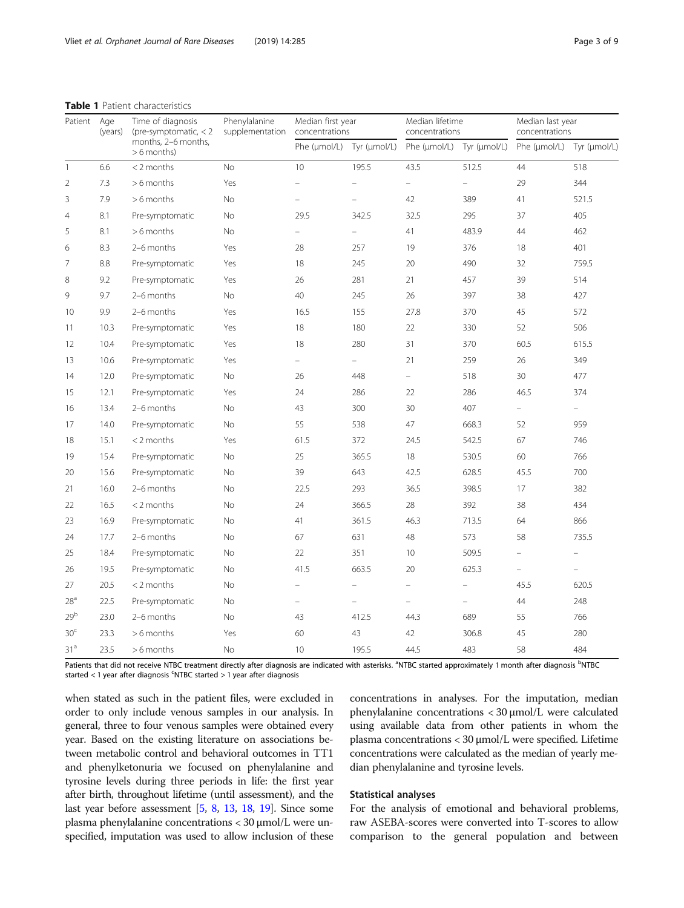<span id="page-2-0"></span>

| Patient         | Age<br>(years) | Time of diagnosis<br>(pre-symptomatic, $<$ 2<br>months, 2–6 months,<br>$> 6$ months) | Phenylalanine<br>supplementation | Median first year<br>concentrations |              | Median lifetime<br>concentrations |              | Median last year<br>concentrations |              |
|-----------------|----------------|--------------------------------------------------------------------------------------|----------------------------------|-------------------------------------|--------------|-----------------------------------|--------------|------------------------------------|--------------|
|                 |                |                                                                                      |                                  | Phe (µmol/L)                        | Tyr (µmol/L) | Phe (µmol/L)                      | Tyr (µmol/L) | Phe (µmol/L)                       | Tyr (µmol/L) |
| $\mathbf{1}$    | 6.6            | $<$ 2 months                                                                         | No                               | 10                                  | 195.5        | 43.5                              | 512.5        | 44                                 | 518          |
| 2               | 7.3            | $> 6$ months                                                                         | Yes                              | $\equiv$                            |              | $\overline{\phantom{0}}$          | $\equiv$     | 29                                 | 344          |
| 3               | 7.9            | >6 months                                                                            | No                               |                                     |              | 42                                | 389          | 41                                 | 521.5        |
| 4               | 8.1            | Pre-symptomatic                                                                      | No                               | 29.5                                | 342.5        | 32.5                              | 295          | 37                                 | 405          |
| 5               | 8.1            | $> 6$ months                                                                         | No                               |                                     |              | 41                                | 483.9        | 44                                 | 462          |
| 6               | 8.3            | 2-6 months                                                                           | Yes                              | 28                                  | 257          | 19                                | 376          | 18                                 | 401          |
| 7               | 8.8            | Pre-symptomatic                                                                      | Yes                              | 18                                  | 245          | 20                                | 490          | 32                                 | 759.5        |
| 8               | 9.2            | Pre-symptomatic                                                                      | Yes                              | 26                                  | 281          | 21                                | 457          | 39                                 | 514          |
| 9               | 9.7            | 2-6 months                                                                           | No                               | 40                                  | 245          | 26                                | 397          | 38                                 | 427          |
| 10              | 9.9            | 2-6 months                                                                           | Yes                              | 16.5                                | 155          | 27.8                              | 370          | 45                                 | 572          |
| 11              | 10.3           | Pre-symptomatic                                                                      | Yes                              | 18                                  | 180          | 22                                | 330          | 52                                 | 506          |
| 12              | 10.4           | Pre-symptomatic                                                                      | Yes                              | 18                                  | 280          | 31                                | 370          | 60.5                               | 615.5        |
| 13              | 10.6           | Pre-symptomatic                                                                      | Yes                              | $\equiv$                            |              | 21                                | 259          | 26                                 | 349          |
| 14              | 12.0           | Pre-symptomatic                                                                      | No                               | 26                                  | 448          |                                   | 518          | 30                                 | 477          |
| 15              | 12.1           | Pre-symptomatic                                                                      | Yes                              | 24                                  | 286          | 22                                | 286          | 46.5                               | 374          |
| 16              | 13.4           | 2-6 months                                                                           | No                               | 43                                  | 300          | 30                                | 407          |                                    |              |
| 17              | 14.0           | Pre-symptomatic                                                                      | No                               | 55                                  | 538          | 47                                | 668.3        | 52                                 | 959          |
| 18              | 15.1           | $<$ 2 months                                                                         | Yes                              | 61.5                                | 372          | 24.5                              | 542.5        | 67                                 | 746          |
| 19              | 15.4           | Pre-symptomatic                                                                      | No                               | 25                                  | 365.5        | 18                                | 530.5        | 60                                 | 766          |
| 20              | 15.6           | Pre-symptomatic                                                                      | No                               | 39                                  | 643          | 42.5                              | 628.5        | 45.5                               | 700          |
| 21              | 16.0           | 2-6 months                                                                           | No                               | 22.5                                | 293          | 36.5                              | 398.5        | 17                                 | 382          |
| 22              | 16.5           | $<$ 2 months                                                                         | No                               | 24                                  | 366.5        | 28                                | 392          | 38                                 | 434          |
| 23              | 16.9           | Pre-symptomatic                                                                      | No                               | 41                                  | 361.5        | 46.3                              | 713.5        | 64                                 | 866          |
| 24              | 17.7           | 2-6 months                                                                           | No                               | 67                                  | 631          | 48                                | 573          | 58                                 | 735.5        |
| 25              | 18.4           | Pre-symptomatic                                                                      | No                               | 22                                  | 351          | 10                                | 509.5        |                                    |              |
| 26              | 19.5           | Pre-symptomatic                                                                      | No                               | 41.5                                | 663.5        | 20                                | 625.3        | ÷,                                 |              |
| 27              | 20.5           | $<$ 2 months                                                                         | No                               | $\equiv$                            |              |                                   |              | 45.5                               | 620.5        |
| 28 <sup>a</sup> | 22.5           | Pre-symptomatic                                                                      | No                               | $\overline{\phantom{m}}$            |              | $\overline{\phantom{m}}$          | $\equiv$     | 44                                 | 248          |
| 29 <sup>b</sup> | 23.0           | 2-6 months                                                                           | No                               | 43                                  | 412.5        | 44.3                              | 689          | 55                                 | 766          |
| 30 <sup>c</sup> | 23.3           | $>6$ months                                                                          | Yes                              | 60                                  | 43           | 42                                | 306.8        | 45                                 | 280          |
| 31 <sup>a</sup> | 23.5           | $> 6$ months                                                                         | No                               | 10                                  | 195.5        | 44.5                              | 483          | 58                                 | 484          |

Patients that did not receive NTBC treatment directly after diagnosis are indicated with asterisks. <sup>a</sup>NTBC started approximately 1 month after diagnosis <sup>b</sup>NTBC started < 1 year after diagnosis <sup>c</sup>NTBC started > 1 year after diagnosis

when stated as such in the patient files, were excluded in order to only include venous samples in our analysis. In general, three to four venous samples were obtained every year. Based on the existing literature on associations between metabolic control and behavioral outcomes in TT1 and phenylketonuria we focused on phenylalanine and tyrosine levels during three periods in life: the first year after birth, throughout lifetime (until assessment), and the last year before assessment [\[5](#page-7-0), [8](#page-7-0), [13](#page-7-0), [18,](#page-8-0) [19\]](#page-8-0). Since some plasma phenylalanine concentrations < 30 μmol/L were unspecified, imputation was used to allow inclusion of these concentrations in analyses. For the imputation, median phenylalanine concentrations < 30 μmol/L were calculated using available data from other patients in whom the plasma concentrations < 30 μmol/L were specified. Lifetime concentrations were calculated as the median of yearly median phenylalanine and tyrosine levels.

#### Statistical analyses

For the analysis of emotional and behavioral problems, raw ASEBA-scores were converted into T-scores to allow comparison to the general population and between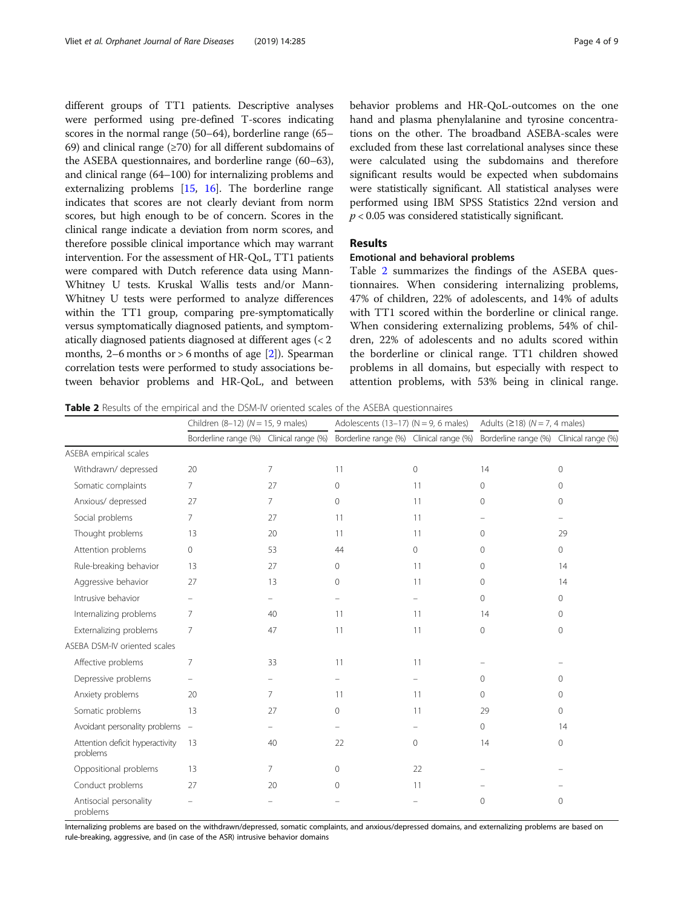<span id="page-3-0"></span>different groups of TT1 patients. Descriptive analyses were performed using pre-defined T-scores indicating scores in the normal range (50–64), borderline range (65– 69) and clinical range ( $\geq$ 70) for all different subdomains of the ASEBA questionnaires, and borderline range (60–63), and clinical range (64–100) for internalizing problems and externalizing problems [\[15](#page-8-0), [16\]](#page-8-0). The borderline range indicates that scores are not clearly deviant from norm scores, but high enough to be of concern. Scores in the clinical range indicate a deviation from norm scores, and therefore possible clinical importance which may warrant intervention. For the assessment of HR-QoL, TT1 patients were compared with Dutch reference data using Mann-Whitney U tests. Kruskal Wallis tests and/or Mann-Whitney U tests were performed to analyze differences within the TT1 group, comparing pre-symptomatically versus symptomatically diagnosed patients, and symptomatically diagnosed patients diagnosed at different ages (< 2 months, 2–6 months or  $> 6$  months of age [[2\]](#page-7-0)). Spearman correlation tests were performed to study associations between behavior problems and HR-QoL, and between

behavior problems and HR-QoL-outcomes on the one hand and plasma phenylalanine and tyrosine concentrations on the other. The broadband ASEBA-scales were excluded from these last correlational analyses since these were calculated using the subdomains and therefore significant results would be expected when subdomains were statistically significant. All statistical analyses were performed using IBM SPSS Statistics 22nd version and  $p < 0.05$  was considered statistically significant.

#### Results

#### Emotional and behavioral problems

Table 2 summarizes the findings of the ASEBA questionnaires. When considering internalizing problems, 47% of children, 22% of adolescents, and 14% of adults with TT1 scored within the borderline or clinical range. When considering externalizing problems, 54% of children, 22% of adolescents and no adults scored within the borderline or clinical range. TT1 children showed problems in all domains, but especially with respect to attention problems, with 53% being in clinical range.

Table 2 Results of the empirical and the DSM-IV oriented scales of the ASEBA questionnaires

|                                             | Children $(8-12)$ ( $N = 15$ , 9 males) |                          | Adolescents (13-17) ( $N = 9$ , 6 males) |             | Adults $(≥18)$ ( $N = 7$ , 4 males)     |          |
|---------------------------------------------|-----------------------------------------|--------------------------|------------------------------------------|-------------|-----------------------------------------|----------|
|                                             | Borderline range (%) Clinical range (%) |                          | Borderline range (%) Clinical range (%)  |             | Borderline range (%) Clinical range (%) |          |
| ASEBA empirical scales                      |                                         |                          |                                          |             |                                         |          |
| Withdrawn/depressed                         | 20                                      | $\overline{7}$           | 11                                       | $\mathbf 0$ | 14                                      | $\Omega$ |
| Somatic complaints                          | 7                                       | 27                       | $\Omega$                                 | 11          | $\Omega$                                | $\Omega$ |
| Anxious/ depressed                          | 27                                      | $\overline{7}$           | $\mathbf{0}$                             | 11          | 0                                       | $\Omega$ |
| Social problems                             | 7                                       | 27                       | 11                                       | 11          |                                         |          |
| Thought problems                            | 13                                      | 20                       | 11                                       | 11          | 0                                       | 29       |
| Attention problems                          | $\Omega$                                | 53                       | 44                                       | $\Omega$    | $\Omega$                                | $\Omega$ |
| Rule-breaking behavior                      | 13                                      | 27                       | $\Omega$                                 | 11          | $\Omega$                                | 14       |
| Aggressive behavior                         | 27                                      | 13                       | $\Omega$                                 | 11          | $\mathbf{0}$                            | 14       |
| Intrusive behavior                          |                                         | $\overline{\phantom{m}}$ |                                          | $\equiv$    | $\mathbf{0}$                            | $\Omega$ |
| Internalizing problems                      | 7                                       | 40                       | 11                                       | 11          | 14                                      | $\Omega$ |
| Externalizing problems                      | 7                                       | 47                       | 11                                       | 11          | 0                                       | $\Omega$ |
| ASEBA DSM-IV oriented scales                |                                         |                          |                                          |             |                                         |          |
| Affective problems                          | 7                                       | 33                       | 11                                       | 11          |                                         |          |
| Depressive problems                         |                                         |                          |                                          |             | $\Omega$                                | $\Omega$ |
| Anxiety problems                            | 20                                      | $\overline{7}$           | 11                                       | 11          | $\mathbf{0}$                            | $\Omega$ |
| Somatic problems                            | 13                                      | 27                       | $\Omega$                                 | 11          | 29                                      | $\Omega$ |
| Avoidant personality problems -             |                                         |                          |                                          |             | $\circ$                                 | 14       |
| Attention deficit hyperactivity<br>problems | 13                                      | 40                       | 22                                       | $\circ$     | 14                                      | $\Omega$ |
| Oppositional problems                       | 13                                      | $\overline{7}$           | $\mathbf{0}$                             | 22          |                                         |          |
| Conduct problems                            | 27                                      | 20                       | $\Omega$                                 | 11          |                                         |          |
| Antisocial personality<br>problems          |                                         |                          |                                          |             | $\mathbf{0}$                            | $\circ$  |

Internalizing problems are based on the withdrawn/depressed, somatic complaints, and anxious/depressed domains, and externalizing problems are based on rule-breaking, aggressive, and (in case of the ASR) intrusive behavior domains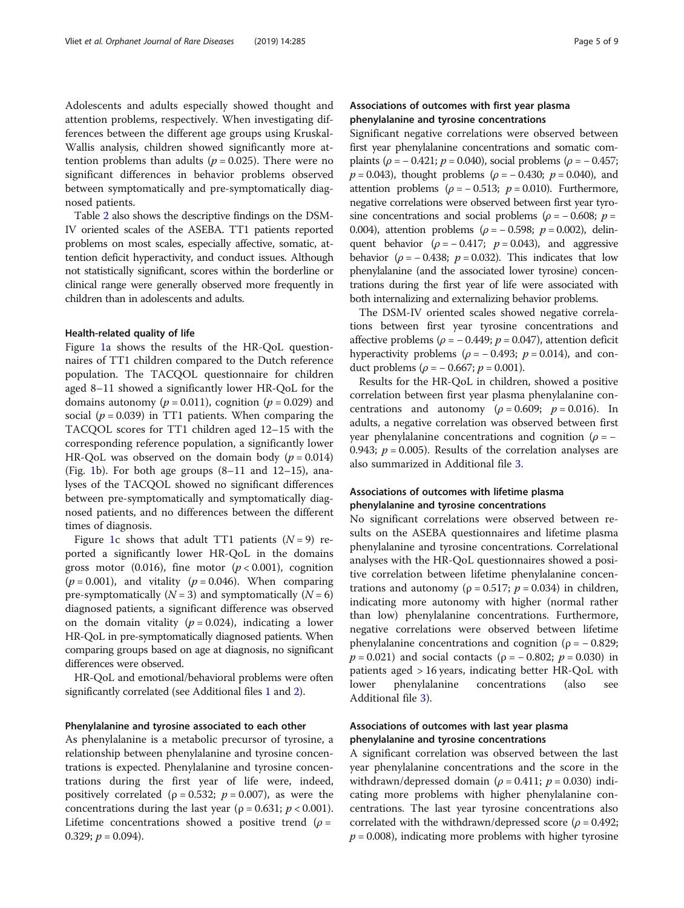Adolescents and adults especially showed thought and attention problems, respectively. When investigating differences between the different age groups using Kruskal-Wallis analysis, children showed significantly more attention problems than adults ( $p = 0.025$ ). There were no significant differences in behavior problems observed between symptomatically and pre-symptomatically diagnosed patients.

Table [2](#page-3-0) also shows the descriptive findings on the DSM-IV oriented scales of the ASEBA. TT1 patients reported problems on most scales, especially affective, somatic, attention deficit hyperactivity, and conduct issues. Although not statistically significant, scores within the borderline or clinical range were generally observed more frequently in children than in adolescents and adults.

#### Health-related quality of life

Figure [1](#page-5-0)a shows the results of the HR-QoL questionnaires of TT1 children compared to the Dutch reference population. The TACQOL questionnaire for children aged 8–11 showed a significantly lower HR-QoL for the domains autonomy ( $p = 0.011$ ), cognition ( $p = 0.029$ ) and social ( $p = 0.039$ ) in TT1 patients. When comparing the TACQOL scores for TT1 children aged 12–15 with the corresponding reference population, a significantly lower HR-QoL was observed on the domain body  $(p = 0.014)$ (Fig. [1b](#page-5-0)). For both age groups  $(8-11$  and  $12-15)$ , analyses of the TACQOL showed no significant differences between pre-symptomatically and symptomatically diagnosed patients, and no differences between the different times of diagnosis.

Figure [1](#page-5-0)c shows that adult TT1 patients  $(N = 9)$  reported a significantly lower HR-QoL in the domains gross motor (0.016), fine motor ( $p < 0.001$ ), cognition  $(p = 0.001)$ , and vitality  $(p = 0.046)$ . When comparing pre-symptomatically  $(N = 3)$  and symptomatically  $(N = 6)$ diagnosed patients, a significant difference was observed on the domain vitality ( $p = 0.024$ ), indicating a lower HR-QoL in pre-symptomatically diagnosed patients. When comparing groups based on age at diagnosis, no significant differences were observed.

HR-QoL and emotional/behavioral problems were often significantly correlated (see Additional files [1](#page-6-0) and [2\)](#page-6-0).

#### Phenylalanine and tyrosine associated to each other

As phenylalanine is a metabolic precursor of tyrosine, a relationship between phenylalanine and tyrosine concentrations is expected. Phenylalanine and tyrosine concentrations during the first year of life were, indeed, positively correlated ( $\rho = 0.532$ ;  $p = 0.007$ ), as were the concentrations during the last year ( $\rho$  = 0.631;  $p$  < 0.001). Lifetime concentrations showed a positive trend ( $\rho =$ 0.329;  $p = 0.094$ ).

#### Associations of outcomes with first year plasma phenylalanine and tyrosine concentrations

Significant negative correlations were observed between first year phenylalanine concentrations and somatic complaints ( $\rho = -0.421$ ;  $p = 0.040$ ), social problems ( $\rho = -0.457$ ;  $p = 0.043$ ), thought problems ( $\rho = -0.430$ ;  $p = 0.040$ ), and attention problems ( $\rho = -0.513$ ;  $p = 0.010$ ). Furthermore, negative correlations were observed between first year tyrosine concentrations and social problems ( $\rho = -0.608$ ;  $p =$ 0.004), attention problems ( $\rho = -0.598$ ;  $p = 0.002$ ), delinquent behavior ( $\rho = -0.417$ ;  $p = 0.043$ ), and aggressive behavior ( $\rho = -0.438$ ;  $p = 0.032$ ). This indicates that low phenylalanine (and the associated lower tyrosine) concentrations during the first year of life were associated with both internalizing and externalizing behavior problems.

The DSM-IV oriented scales showed negative correlations between first year tyrosine concentrations and affective problems ( $\rho = -0.449$ ;  $p = 0.047$ ), attention deficit hyperactivity problems ( $\rho = -0.493$ ;  $p = 0.014$ ), and conduct problems ( $ρ = −0.667$ ;  $p = 0.001$ ).

Results for the HR-QoL in children, showed a positive correlation between first year plasma phenylalanine concentrations and autonomy ( $\rho = 0.609$ ;  $p = 0.016$ ). In adults, a negative correlation was observed between first year phenylalanine concentrations and cognition ( $\rho = -$ 0.943;  $p = 0.005$ ). Results of the correlation analyses are also summarized in Additional file [3.](#page-6-0)

#### Associations of outcomes with lifetime plasma phenylalanine and tyrosine concentrations

No significant correlations were observed between results on the ASEBA questionnaires and lifetime plasma phenylalanine and tyrosine concentrations. Correlational analyses with the HR-QoL questionnaires showed a positive correlation between lifetime phenylalanine concentrations and autonomy ( $\rho = 0.517$ ;  $p = 0.034$ ) in children, indicating more autonomy with higher (normal rather than low) phenylalanine concentrations. Furthermore, negative correlations were observed between lifetime phenylalanine concentrations and cognition ( $ρ = -0.829$ ;  $p = 0.021$ ) and social contacts ( $\rho = -0.802$ ;  $p = 0.030$ ) in patients aged > 16 years, indicating better HR-QoL with lower phenylalanine concentrations (also see Additional file [3](#page-6-0)).

#### Associations of outcomes with last year plasma phenylalanine and tyrosine concentrations

A significant correlation was observed between the last year phenylalanine concentrations and the score in the withdrawn/depressed domain ( $\rho$  = 0.411;  $p$  = 0.030) indicating more problems with higher phenylalanine concentrations. The last year tyrosine concentrations also correlated with the withdrawn/depressed score ( $\rho = 0.492$ ;  $p = 0.008$ ), indicating more problems with higher tyrosine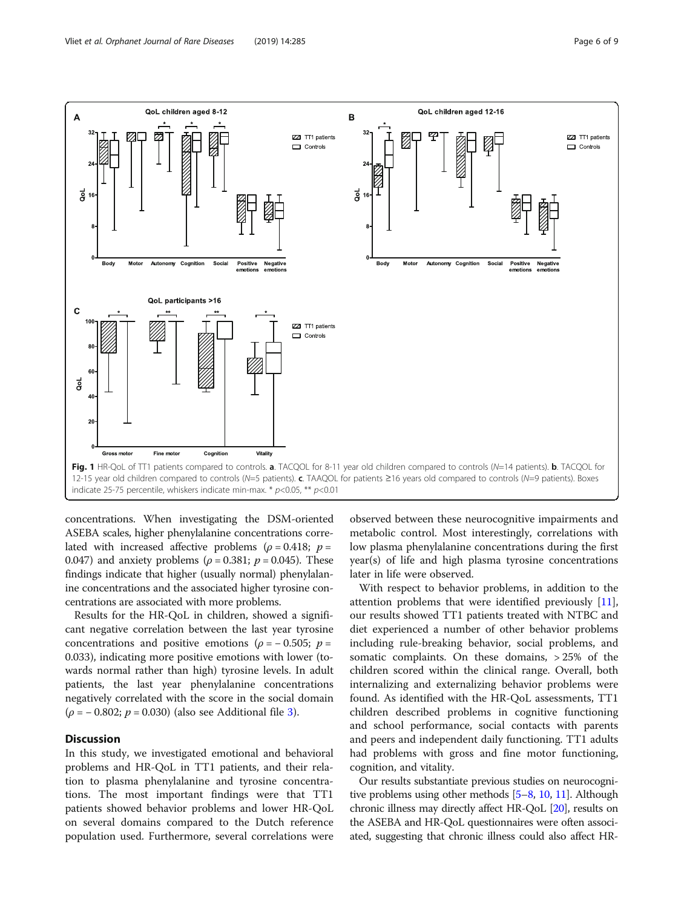<span id="page-5-0"></span>

concentrations. When investigating the DSM-oriented ASEBA scales, higher phenylalanine concentrations correlated with increased affective problems ( $\rho = 0.418$ ;  $p =$ 0.047) and anxiety problems ( $\rho = 0.381$ ;  $p = 0.045$ ). These findings indicate that higher (usually normal) phenylalanine concentrations and the associated higher tyrosine concentrations are associated with more problems.

Results for the HR-QoL in children, showed a significant negative correlation between the last year tyrosine concentrations and positive emotions ( $\rho = -0.505$ ;  $p =$ 0.033), indicating more positive emotions with lower (towards normal rather than high) tyrosine levels. In adult patients, the last year phenylalanine concentrations negatively correlated with the score in the social domain  $(\rho = -0.802; p = 0.030)$  $(\rho = -0.802; p = 0.030)$  $(\rho = -0.802; p = 0.030)$  (also see Additional file 3).

#### Discussion

In this study, we investigated emotional and behavioral problems and HR-QoL in TT1 patients, and their relation to plasma phenylalanine and tyrosine concentrations. The most important findings were that TT1 patients showed behavior problems and lower HR-QoL on several domains compared to the Dutch reference population used. Furthermore, several correlations were

observed between these neurocognitive impairments and metabolic control. Most interestingly, correlations with low plasma phenylalanine concentrations during the first year(s) of life and high plasma tyrosine concentrations later in life were observed.

With respect to behavior problems, in addition to the attention problems that were identified previously [\[11](#page-7-0)], our results showed TT1 patients treated with NTBC and diet experienced a number of other behavior problems including rule-breaking behavior, social problems, and somatic complaints. On these domains, > 25% of the children scored within the clinical range. Overall, both internalizing and externalizing behavior problems were found. As identified with the HR-QoL assessments, TT1 children described problems in cognitive functioning and school performance, social contacts with parents and peers and independent daily functioning. TT1 adults had problems with gross and fine motor functioning, cognition, and vitality.

Our results substantiate previous studies on neurocognitive problems using other methods [\[5](#page-7-0)–[8](#page-7-0), [10,](#page-7-0) [11](#page-7-0)]. Although chronic illness may directly affect HR-QoL [[20](#page-8-0)], results on the ASEBA and HR-QoL questionnaires were often associated, suggesting that chronic illness could also affect HR-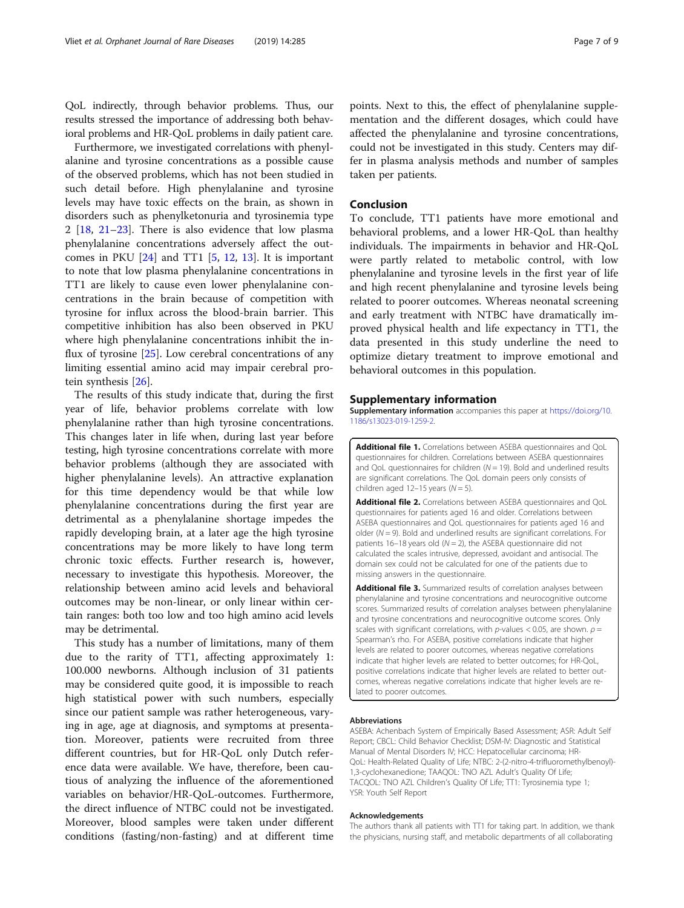<span id="page-6-0"></span>QoL indirectly, through behavior problems. Thus, our results stressed the importance of addressing both behavioral problems and HR-QoL problems in daily patient care.

Furthermore, we investigated correlations with phenylalanine and tyrosine concentrations as a possible cause of the observed problems, which has not been studied in such detail before. High phenylalanine and tyrosine levels may have toxic effects on the brain, as shown in disorders such as phenylketonuria and tyrosinemia type 2 [\[18](#page-8-0), [21](#page-8-0)–[23\]](#page-8-0). There is also evidence that low plasma phenylalanine concentrations adversely affect the outcomes in PKU [[24\]](#page-8-0) and TT1 [\[5](#page-7-0), [12,](#page-7-0) [13](#page-7-0)]. It is important to note that low plasma phenylalanine concentrations in TT1 are likely to cause even lower phenylalanine concentrations in the brain because of competition with tyrosine for influx across the blood-brain barrier. This competitive inhibition has also been observed in PKU where high phenylalanine concentrations inhibit the influx of tyrosine [[25\]](#page-8-0). Low cerebral concentrations of any limiting essential amino acid may impair cerebral protein synthesis [[26\]](#page-8-0).

The results of this study indicate that, during the first year of life, behavior problems correlate with low phenylalanine rather than high tyrosine concentrations. This changes later in life when, during last year before testing, high tyrosine concentrations correlate with more behavior problems (although they are associated with higher phenylalanine levels). An attractive explanation for this time dependency would be that while low phenylalanine concentrations during the first year are detrimental as a phenylalanine shortage impedes the rapidly developing brain, at a later age the high tyrosine concentrations may be more likely to have long term chronic toxic effects. Further research is, however, necessary to investigate this hypothesis. Moreover, the relationship between amino acid levels and behavioral outcomes may be non-linear, or only linear within certain ranges: both too low and too high amino acid levels may be detrimental.

This study has a number of limitations, many of them due to the rarity of TT1, affecting approximately 1: 100.000 newborns. Although inclusion of 31 patients may be considered quite good, it is impossible to reach high statistical power with such numbers, especially since our patient sample was rather heterogeneous, varying in age, age at diagnosis, and symptoms at presentation. Moreover, patients were recruited from three different countries, but for HR-QoL only Dutch reference data were available. We have, therefore, been cautious of analyzing the influence of the aforementioned variables on behavior/HR-QoL-outcomes. Furthermore, the direct influence of NTBC could not be investigated. Moreover, blood samples were taken under different conditions (fasting/non-fasting) and at different time

points. Next to this, the effect of phenylalanine supplementation and the different dosages, which could have affected the phenylalanine and tyrosine concentrations, could not be investigated in this study. Centers may differ in plasma analysis methods and number of samples taken per patients.

#### Conclusion

To conclude, TT1 patients have more emotional and behavioral problems, and a lower HR-QoL than healthy individuals. The impairments in behavior and HR-QoL were partly related to metabolic control, with low phenylalanine and tyrosine levels in the first year of life and high recent phenylalanine and tyrosine levels being related to poorer outcomes. Whereas neonatal screening and early treatment with NTBC have dramatically improved physical health and life expectancy in TT1, the data presented in this study underline the need to optimize dietary treatment to improve emotional and behavioral outcomes in this population.

#### Supplementary information

Supplementary information accompanies this paper at [https://doi.org/10.](https://doi.org/10.1186/s13023-019-1259-2) [1186/s13023-019-1259-2.](https://doi.org/10.1186/s13023-019-1259-2)

Additional file 1. Correlations between ASEBA questionnaires and QoL questionnaires for children. Correlations between ASEBA questionnaires and QoL questionnaires for children ( $N = 19$ ). Bold and underlined results are significant correlations. The QoL domain peers only consists of children aged 12-15 years ( $N = 5$ ).

Additional file 2. Correlations between ASEBA questionnaires and QoL questionnaires for patients aged 16 and older. Correlations between ASEBA questionnaires and QoL questionnaires for patients aged 16 and older ( $N = 9$ ). Bold and underlined results are significant correlations. For patients 16–18 years old ( $N = 2$ ), the ASEBA questionnaire did not calculated the scales intrusive, depressed, avoidant and antisocial. The domain sex could not be calculated for one of the patients due to missing answers in the questionnaire.

Additional file 3. Summarized results of correlation analyses between phenylalanine and tyrosine concentrations and neurocognitive outcome scores. Summarized results of correlation analyses between phenylalanine and tyrosine concentrations and neurocognitive outcome scores. Only scales with significant correlations, with p-values < 0.05, are shown.  $\rho =$ Spearman's rho. For ASEBA, positive correlations indicate that higher levels are related to poorer outcomes, whereas negative correlations indicate that higher levels are related to better outcomes: for HR-OoL, positive correlations indicate that higher levels are related to better outcomes, whereas negative correlations indicate that higher levels are related to poorer outcomes.

#### Abbreviations

ASEBA: Achenbach System of Empirically Based Assessment; ASR: Adult Self Report; CBCL: Child Behavior Checklist; DSM-IV: Diagnostic and Statistical Manual of Mental Disorders IV; HCC: Hepatocellular carcinoma; HR-QoL: Health-Related Quality of Life; NTBC: 2-(2-nitro-4-trifluoromethylbenoyl)- 1,3-cyclohexanedione; TAAQOL: TNO AZL Adult's Quality Of Life; TACQOL: TNO AZL Children's Quality Of Life; TT1: Tyrosinemia type 1; YSR: Youth Self Report

#### Acknowledgements

The authors thank all patients with TT1 for taking part. In addition, we thank the physicians, nursing staff, and metabolic departments of all collaborating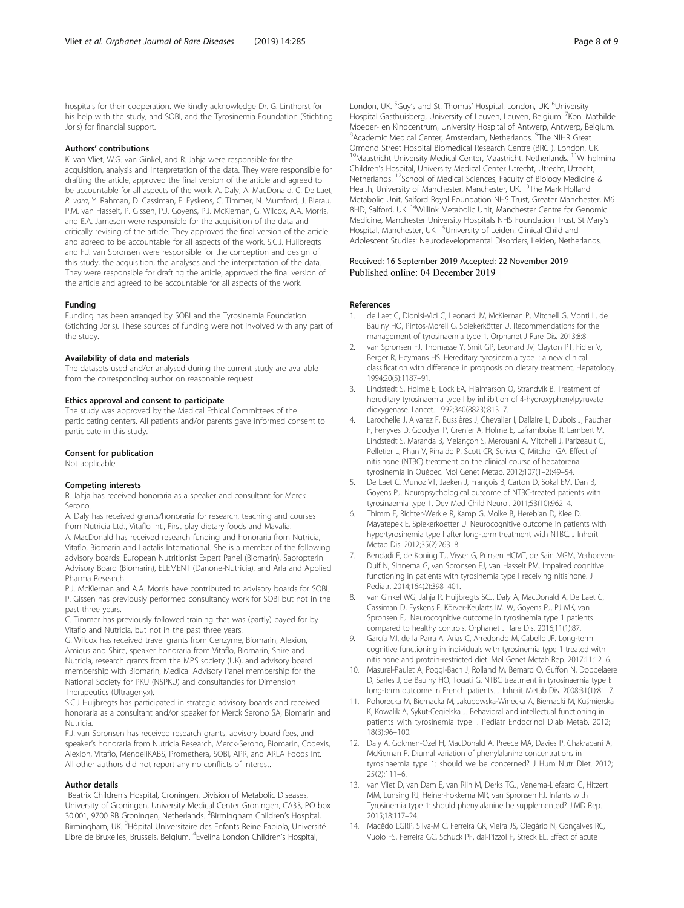<span id="page-7-0"></span>hospitals for their cooperation. We kindly acknowledge Dr. G. Linthorst for his help with the study, and SOBI, and the Tyrosinemia Foundation (Stichting Joris) for financial support.

#### Authors' contributions

K. van Vliet, W.G. van Ginkel, and R. Jahja were responsible for the acquisition, analysis and interpretation of the data. They were responsible for drafting the article, approved the final version of the article and agreed to be accountable for all aspects of the work. A. Daly, A. MacDonald, C. De Laet, R. vara, Y. Rahman, D. Cassiman, F. Eyskens, C. Timmer, N. Mumford, J. Bierau, P.M. van Hasselt, P. Gissen, P.J. Goyens, P.J. McKiernan, G. Wilcox, A.A. Morris, and E.A. Jameson were responsible for the acquisition of the data and critically revising of the article. They approved the final version of the article and agreed to be accountable for all aspects of the work. S.C.J. Huijbregts and F.J. van Spronsen were responsible for the conception and design of this study, the acquisition, the analyses and the interpretation of the data. They were responsible for drafting the article, approved the final version of the article and agreed to be accountable for all aspects of the work.

#### Funding

Funding has been arranged by SOBI and the Tyrosinemia Foundation (Stichting Joris). These sources of funding were not involved with any part of the study.

#### Availability of data and materials

The datasets used and/or analysed during the current study are available from the corresponding author on reasonable request.

#### Ethics approval and consent to participate

The study was approved by the Medical Ethical Committees of the participating centers. All patients and/or parents gave informed consent to participate in this study.

#### Consent for publication

Not applicable.

#### Competing interests

R. Jahja has received honoraria as a speaker and consultant for Merck Serono.

A. Daly has received grants/honoraria for research, teaching and courses from Nutricia Ltd., Vitaflo Int., First play dietary foods and Mavalia. A. MacDonald has received research funding and honoraria from Nutricia, Vitaflo, Biomarin and Lactalis International. She is a member of the following advisory boards: European Nutritionist Expert Panel (Biomarin), Sapropterin Advisory Board (Biomarin), ELEMENT (Danone-Nutricia), and Arla and Applied Pharma Research.

P.J. McKiernan and A.A. Morris have contributed to advisory boards for SOBI. P. Gissen has previously performed consultancy work for SOBI but not in the past three years.

C. Timmer has previously followed training that was (partly) payed for by Vitaflo and Nutricia, but not in the past three years.

G. Wilcox has received travel grants from Genzyme, Biomarin, Alexion, Amicus and Shire, speaker honoraria from Vitaflo, Biomarin, Shire and Nutricia, research grants from the MPS society (UK), and advisory board membership with Biomarin, Medical Advisory Panel membership for the National Society for PKU (NSPKU) and consultancies for Dimension Therapeutics (Ultragenyx).

S.C.J Huijbregts has participated in strategic advisory boards and received honoraria as a consultant and/or speaker for Merck Serono SA, Biomarin and Nutricia.

F.J. van Spronsen has received research grants, advisory board fees, and speaker's honoraria from Nutricia Research, Merck-Serono, Biomarin, Codexis, Alexion, Vitaflo, MendeliKABS, Promethera, SOBI, APR, and ARLA Foods Int. All other authors did not report any no conflicts of interest.

#### Author details

<sup>1</sup> Beatrix Children's Hospital, Groningen, Division of Metabolic Diseases, University of Groningen, University Medical Center Groningen, CA33, PO box 30.001, 9700 RB Groningen, Netherlands. <sup>2</sup>Birmingham Children's Hospital, Birmingham, UK. <sup>3</sup>Hôpital Universitaire des Enfants Reine Fabiola, Université Libre de Bruxelles, Brussels, Belgium. <sup>4</sup>Evelina London Children's Hospital,

London, UK. <sup>5</sup>Guy's and St. Thomas' Hospital, London, UK. <sup>6</sup>University Hospital Gasthuisberg, University of Leuven, Leuven, Belgium. <sup>7</sup>Kon. Mathilde Moeder- en Kindcentrum, University Hospital of Antwerp, Antwerp, Belgium. <sup>8</sup> Academic Medical Center, Amsterdam, Netherlands. <sup>9</sup>The NIHR Great Ormond Street Hospital Biomedical Research Centre (BRC ), London, UK. <sup>10</sup>Maastricht University Medical Center, Maastricht, Netherlands. <sup>11</sup>Wilhelmina Children's Hospital, University Medical Center Utrecht, Utrecht, Utrecht, Netherlands. <sup>12</sup>School of Medical Sciences, Faculty of Biology Medicine & Health, University of Manchester, Manchester, UK. <sup>13</sup>The Mark Holland Metabolic Unit, Salford Royal Foundation NHS Trust, Greater Manchester, M6 8HD, Salford, UK. <sup>14</sup>Willink Metabolic Unit, Manchester Centre for Genomic Medicine, Manchester University Hospitals NHS Foundation Trust, St Mary's Hospital, Manchester, UK. <sup>15</sup>University of Leiden, Clinical Child and Adolescent Studies: Neurodevelopmental Disorders, Leiden, Netherlands.

#### Received: 16 September 2019 Accepted: 22 November 2019 Published online: 04 December 2019

#### References

- 1. de Laet C, Dionisi-Vici C, Leonard JV, McKiernan P, Mitchell G, Monti L, de Baulny HO, Pintos-Morell G, Spiekerkötter U. Recommendations for the management of tyrosinaemia type 1. Orphanet J Rare Dis. 2013;8:8.
- 2. van Spronsen FJ, Thomasse Y, Smit GP, Leonard JV, Clayton PT, Fidler V, Berger R, Heymans HS. Hereditary tyrosinemia type I: a new clinical classification with difference in prognosis on dietary treatment. Hepatology. 1994;20(5):1187–91.
- 3. Lindstedt S, Holme E, Lock EA, Hjalmarson O, Strandvik B. Treatment of hereditary tyrosinaemia type I by inhibition of 4-hydroxyphenylpyruvate dioxygenase. Lancet. 1992;340(8823):813–7.
- 4. Larochelle J, Alvarez F, Bussières J, Chevalier I, Dallaire L, Dubois J, Faucher F, Fenyves D, Goodyer P, Grenier A, Holme E, Laframboise R, Lambert M, Lindstedt S, Maranda B, Melançon S, Merouani A, Mitchell J, Parizeault G, Pelletier L, Phan V, Rinaldo P, Scott CR, Scriver C, Mitchell GA. Effect of nitisinone (NTBC) treatment on the clinical course of hepatorenal tyrosinemia in Québec. Mol Genet Metab. 2012;107(1–2):49–54.
- 5. De Laet C, Munoz VT, Jaeken J, François B, Carton D, Sokal EM, Dan B, Goyens PJ. Neuropsychological outcome of NTBC-treated patients with tyrosinaemia type 1. Dev Med Child Neurol. 2011;53(10):962–4.
- Thimm E, Richter-Werkle R, Kamp G, Molke B, Herebian D, Klee D, Mayatepek E, Spiekerkoetter U. Neurocognitive outcome in patients with hypertyrosinemia type I after long-term treatment with NTBC. J Inherit Metab Dis. 2012;35(2):263–8.
- 7. Bendadi F, de Koning TJ, Visser G, Prinsen HCMT, de Sain MGM, Verhoeven-Duif N, Sinnema G, van Spronsen FJ, van Hasselt PM. Impaired cognitive functioning in patients with tyrosinemia type I receiving nitisinone. J Pediatr. 2014;164(2):398–401.
- 8. van Ginkel WG, Jahja R, Huijbregts SCJ, Daly A, MacDonald A, De Laet C, Cassiman D, Eyskens F, Körver-Keularts IMLW, Goyens PJ, PJ MK, van Spronsen FJ. Neurocognitive outcome in tyrosinemia type 1 patients compared to healthy controls. Orphanet J Rare Dis. 2016;11(1):87.
- García MI, de la Parra A, Arias C, Arredondo M, Cabello JF. Long-term cognitive functioning in individuals with tyrosinemia type 1 treated with nitisinone and protein-restricted diet. Mol Genet Metab Rep. 2017;11:12–6.
- 10. Masurel-Paulet A, Poggi-Bach J, Rolland M, Bernard O, Guffon N, Dobbelaere D, Sarles J, de Baulny HO, Touati G. NTBC treatment in tyrosinaemia type I: long-term outcome in French patients. J Inherit Metab Dis. 2008;31(1):81–7.
- 11. Pohorecka M, Biernacka M, Jakubowska-Winecka A, Biernacki M, Kuśmierska K, Kowalik A, Sykut-Cegielska J. Behavioral and intellectual functioning in patients with tyrosinemia type I. Pediatr Endocrinol Diab Metab. 2012; 18(3):96–100.
- 12. Daly A, Gokmen-Ozel H, MacDonald A, Preece MA, Davies P, Chakrapani A, McKiernan P. Diurnal variation of phenylalanine concentrations in tyrosinaemia type 1: should we be concerned? J Hum Nutr Diet. 2012; 25(2):111–6.
- 13. van Vliet D, van Dam E, van Rijn M, Derks TGJ, Venema-Liefaard G, Hitzert MM, Lunsing RJ, Heiner-Fokkema MR, van Spronsen FJ. Infants with Tyrosinemia type 1: should phenylalanine be supplemented? JIMD Rep. 2015;18:117–24.
- 14. Macêdo LGRP, Silva-M C, Ferreira GK, Vieira JS, Olegário N, Gonçalves RC, Vuolo FS, Ferreira GC, Schuck PF, dal-Pizzol F, Streck EL. Effect of acute